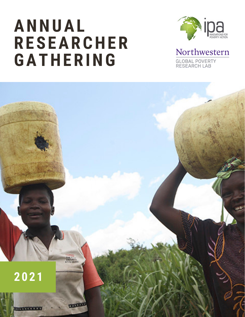## **ANNUAL RESEARCHER GATHERING**



Northwestern GLOBAL POVERTY<br>RESEARCH LAB

**2 0 2 1THE EXECU**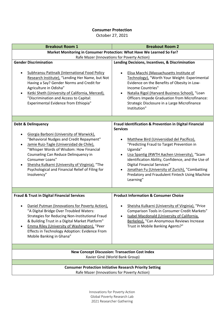## **Consumer Protection**

October 27, 2021

| <b>Breakout Room 1</b>                                                                                                                                                                                                                                                                                                                                                                        | <b>Breakout Room 2</b>                                                                                                                                                                                                                                                                                                                                                                                                                                                |  |  |
|-----------------------------------------------------------------------------------------------------------------------------------------------------------------------------------------------------------------------------------------------------------------------------------------------------------------------------------------------------------------------------------------------|-----------------------------------------------------------------------------------------------------------------------------------------------------------------------------------------------------------------------------------------------------------------------------------------------------------------------------------------------------------------------------------------------------------------------------------------------------------------------|--|--|
| Market Monitoring in Consumer Protection: What Have We Learned So Far?                                                                                                                                                                                                                                                                                                                        |                                                                                                                                                                                                                                                                                                                                                                                                                                                                       |  |  |
| Rafe Mazer (Innovations for Poverty Action)                                                                                                                                                                                                                                                                                                                                                   |                                                                                                                                                                                                                                                                                                                                                                                                                                                                       |  |  |
| <b>Gender Discrimination</b>                                                                                                                                                                                                                                                                                                                                                                  | Lending Decisions, Incentives, & Discrimination                                                                                                                                                                                                                                                                                                                                                                                                                       |  |  |
| <b>Subhransu Pattnaik (International Food Policy</b><br>Research Institute), "Lending Her Name, but Not<br>Having a Say? Gender Norms and Credit for<br>Agriculture in Odisha"<br>Ketki Sheth (University of California, Merced),<br>"Discrimination and Access to Capital:<br>Experimental Evidence from Ethiopia"                                                                           | Elisa Macchi (Massachusetts Institute of<br>$\bullet$<br>Technology), "Worth Your Weight: Experimental<br>Evidence on the Benefits of Obesity in Low-<br><b>Income Countries"</b><br>Natalia Rigol (Harvard Business School), "Loan<br>$\bullet$<br><b>Officers Impede Graduation from Microfinance:</b><br>Strategic Disclosure in a Large Microfinance<br>Institution"                                                                                              |  |  |
|                                                                                                                                                                                                                                                                                                                                                                                               |                                                                                                                                                                                                                                                                                                                                                                                                                                                                       |  |  |
| <b>Debt &amp; Delinquency</b><br>Giorgia Barboni (University of Warwick),<br>"Behavioral Nudges and Credit Repayment"<br>Jamie Ruiz-Tagle (Universidad de Chile),<br>"Whisper Words of Wisdom: How Financial<br>Counseling Can Reduce Delinquency in<br>Consumer Loans"<br>Sheisha Kulkarni (University of Virginia), "The<br>Psychological and Financial Relief of Filing for<br>Insolvency" | Fraud Identification & Prevention in Digital Financial<br><b>Services</b><br>Matthew Bird (Universidad del Pacífico),<br>"Predicting Fraud to Target Prevention in<br>Uganda"<br>Lisa Spantig (RWTH Aachen University), "Scam<br>$\bullet$<br>identification Ability, Confidence, and the Use of<br><b>Digital Financial Services"</b><br>Jonathan Fu (University of Zurich), "Combatting<br>$\bullet$<br>Predatory and Fraudulent Fintech Using Machine<br>Learning" |  |  |
|                                                                                                                                                                                                                                                                                                                                                                                               |                                                                                                                                                                                                                                                                                                                                                                                                                                                                       |  |  |
| <b>Fraud &amp; Trust in Digital Financial Services</b><br>Daniel Putman (Innovations for Poverty Action),<br>"A Digital Bridge Over Troubled Waters:<br><b>Strategies for Reducing Non-Institutional Fraud</b><br>& Building Trust in a Digital Market Platform"<br>Emma Riley (University of Washington), "Peer<br>Effects in Technology Adoption: Evidence From<br>Mobile Banking in Ghana" | <b>Product Information &amp; Consumer Choice</b><br>Sheisha Kulkarni (University of Virginia), "Price<br>Comparison Tools in Consumer Credit Markets"<br>Isabel Macdonald (University of California,<br>Berkeley), "Can Anonymous Reviews Increase<br>Trust in Mobile Banking Agents?"                                                                                                                                                                                |  |  |
|                                                                                                                                                                                                                                                                                                                                                                                               |                                                                                                                                                                                                                                                                                                                                                                                                                                                                       |  |  |
| <b>New Concept Discussion: Transaction Cost Index</b><br>Xavier Giné (World Bank Group)                                                                                                                                                                                                                                                                                                       |                                                                                                                                                                                                                                                                                                                                                                                                                                                                       |  |  |
| <b>Consumer Protection Initiative Research Priority Setting</b>                                                                                                                                                                                                                                                                                                                               |                                                                                                                                                                                                                                                                                                                                                                                                                                                                       |  |  |
| Rafe Mazer (Innovations for Poverty Action)                                                                                                                                                                                                                                                                                                                                                   |                                                                                                                                                                                                                                                                                                                                                                                                                                                                       |  |  |

Innovations for Poverty Action Global Poverty Research Lab 2021 Researcher Gathering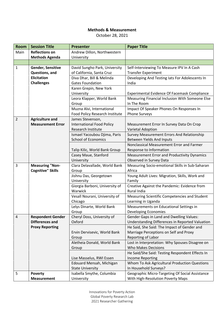## **Methods & Measurement**

October 28, 2021

| <b>Room</b>    | <b>Session Title</b>     | <b>Presenter</b>                                     | <b>Paper Title</b>                                                       |
|----------------|--------------------------|------------------------------------------------------|--------------------------------------------------------------------------|
| Main           | <b>Reflections on</b>    | Andrew Dillon, Northwestern                          |                                                                          |
|                | <b>Methods Agenda</b>    | University                                           |                                                                          |
|                |                          |                                                      |                                                                          |
| 1              | Gender, Sensitive        | David Sungho Park, University                        | Self-Interviewing To Measure IPV In A Cash                               |
|                | Questions, and           | of California, Santa Cruz                            | <b>Transfer Experiment</b>                                               |
|                | <b>Elicitation</b>       | Diva Dhar, Bill & Melinda                            | Developing And Testing lats For Adolescents In                           |
|                | <b>Challenges</b>        | <b>Gates Foundation</b>                              | India                                                                    |
|                |                          | Karen Grepin, New York                               |                                                                          |
|                |                          | University                                           | Experimental Evidence Of Facemask Compliance                             |
|                |                          | Leora Klapper, World Bank                            | Measuring Financial Inclusion With Someone Else                          |
|                |                          | Group                                                | In The Room                                                              |
|                |                          | Muzna Alvi, International                            | Impact Of Speaker Phones On Responses In                                 |
|                |                          | Food Policy Research Institute                       | <b>Phone Surveys</b>                                                     |
| $\overline{2}$ | <b>Agriculture and</b>   | James Stevenson,                                     |                                                                          |
|                | <b>Measurement Error</b> | <b>International Food Policy</b>                     | Measurement Error In Survey Data On Crop                                 |
|                |                          | Research Institute                                   | Varietal Adoption                                                        |
|                |                          | Ismael Yacoubou Djima, Paris                         | Survey Measurement Errors And Relationship                               |
|                |                          | <b>School of Economics</b>                           | <b>Between Yields And Inputs</b>                                         |
|                |                          |                                                      | Nonclassical Measurement Error and Farmer                                |
|                |                          | Talip Kilic, World Bank Group                        | Response to Information                                                  |
|                |                          | Casey Maue, Stanford                                 | <b>Measurement Error and Productivity Dynamics</b>                       |
|                |                          | University                                           | Observed in Survey Data                                                  |
| 3              | <b>Measuring "Non-</b>   | Clara Delavallade, World Bank                        | Measuring Socio-emotional Skills in Sub-Saharan                          |
|                | <b>Cognitive" Skills</b> | Group                                                | Africa                                                                   |
|                |                          | Jishnu Das, Georgetown                               | Young Adult Lives: Migration, Skills, Work and                           |
|                |                          | University                                           | Family                                                                   |
|                |                          | Giorgia Barboni, University of                       | Creative Against the Pandemic: Evidence from                             |
|                |                          | Warwick                                              | <b>Rural India</b>                                                       |
|                |                          | Vesall Nourani, University of                        | Measuring Scientific Competencies and Student                            |
|                |                          | Chicago                                              | Learning in Uganda                                                       |
|                |                          | Lelys Dinarte, World Bank                            | Measurements on Educational Settings in                                  |
|                |                          | Group                                                | Developing Economies                                                     |
| 4              | <b>Respondent Gender</b> | Cheryl Doss, University of                           | <b>Gender Gaps in Land and Dwelling Values:</b>                          |
|                | <b>Differences and</b>   | Oxford                                               | Understanding Differences in Reported Valuation                          |
|                | <b>Proxy Reporting</b>   |                                                      | He Said, She Said: The Impact of Gender and                              |
|                |                          | Ervin Dervisevic, World Bank                         | Marriage Perceptions on Self and Proxy                                   |
|                |                          | Group                                                | Reporting of Labor                                                       |
|                |                          | Aletheia Donald, World Bank                          | Lost in Interpretation: Why Spouses Disagree on                          |
|                |                          | Group                                                | <b>Who Makes Decisions</b>                                               |
|                |                          |                                                      | He Said/She Said: Testing Respondent Effects In                          |
|                |                          | Lise Masselus, RWI Essen                             | <b>Income Reporting</b>                                                  |
|                |                          | Edouard Mensah, Michigan                             | Whom To Ask Agricultural Production Questions                            |
|                | <b>Poverty</b>           | <b>State University</b><br>Isabella Smythe, Columbia | In Household Surveys?<br>Geographic Micro-Targeting Of Social Assistance |
| 5              | <b>Measurement</b>       | University                                           | With High-Resolution Poverty Maps                                        |
|                |                          |                                                      |                                                                          |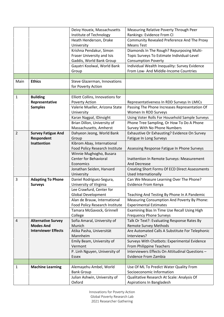|                |                            | Deivy Houeix, Massachusetts                  | Measuring Relative Poverty Through Peer                               |
|----------------|----------------------------|----------------------------------------------|-----------------------------------------------------------------------|
|                |                            | Institute of Technology                      | Rankings: Evidence From CI                                            |
|                |                            | Heath Henderson, Drake                       | Community Revealed Preference And The Proxy                           |
|                |                            | University                                   | <b>Means Test</b>                                                     |
|                |                            | Krishna Pendakur, Simon                      | Diamonds In The Rough? Repurposing Multi-                             |
|                |                            | Fraser University and Isis                   | Topic Surveys To Estimate Individual-Level                            |
|                |                            | Gaddis, World Bank Group                     | <b>Consumption Poverty</b>                                            |
|                |                            | Gayatri Koolwal, World Bank                  | Individual Wealth Inequality: Survey Evidence                         |
|                |                            | Group                                        | From Low- And Middle-Income Countries                                 |
|                |                            |                                              |                                                                       |
| Main           | <b>Ethics</b>              | Steve Glazerman, Innovations                 |                                                                       |
|                |                            | for Poverty Action                           |                                                                       |
|                |                            |                                              |                                                                       |
| $\mathbf{1}$   | <b>Building</b>            | Elliott Collins, Innovations for             |                                                                       |
|                | Representative             | Poverty Action                               | Representativeness In RDD Surveys In LMICs                            |
|                | <b>Samples</b>             | Valerie Mueller, Arizona State<br>University | Passing The Phone Increases Representation Of<br>Women In RDD Surveys |
|                |                            | Karan Nagpal, IDinsight                      | Using Voter Rolls For Household Sample Surveys                        |
|                |                            | Brian Dillon, University of                  | Phone Tree Sampling, Or How To Do A Phone                             |
|                |                            | Massachusetts, Amherst                       | Survey With No Phone Numbers                                          |
| $\overline{2}$ | <b>Survey Fatigue And</b>  | Dahyeon Jeong, World Bank                    | Exhaustive Or Exhausting? Evidence On Survey                          |
|                | Respondent                 | Group                                        | Fatigue In Long Surveys                                               |
|                | Inattention                | Kibrom Abay, International                   |                                                                       |
|                |                            | Food Policy Research Institute               | Assessing Response Fatigue In Phone Surveys                           |
|                |                            | Winnie Mughogho, Busara                      |                                                                       |
|                |                            | <b>Center for Behavioral</b>                 | Inattention In Remote Surveys: Measurement                            |
|                |                            | Economics                                    | And Decrease                                                          |
|                |                            | Jonathan Seiden, Harvard                     | Creating Short Forms Of ECD Direct Assessments                        |
|                |                            | University                                   | <b>Used Internationally</b>                                           |
| 3              | <b>Adapting To Phone</b>   | Daniel Rodriguez-Segura,                     | Can We Measure Learning Over The Phone?                               |
|                | <b>Surveys</b>             | University of Virginia                       | <b>Evidence From Kenya</b>                                            |
|                |                            | Lee Crawfurd, Center for                     |                                                                       |
|                |                            | Global Development                           | Teaching And Testing By Phone In A Pandemic                           |
|                |                            | Alan de Brauw, International                 | Measuring Consumption And Poverty By Phone:                           |
|                |                            | Food Policy Research Institute               | <b>Experimental Estimates</b>                                         |
|                |                            | Tamara McGavock, Grinnell                    | Examining Bias In Time Use Recall Using High                          |
|                |                            | College                                      | <b>Frequency Phone Surveys</b>                                        |
| 4              | <b>Alternative Survey</b>  | Sofia Amaral, University of                  | Talk Or Text?: Evaluating Response Rates By                           |
|                | <b>Modes And</b>           | Munich                                       | <b>Remote Survey Methods</b>                                          |
|                | <b>Interviewer Effects</b> | Atika Pasha, Universität                     | Are Automated Calls A Substitute For Telephonic                       |
|                |                            | Mannheim                                     | Interviews?                                                           |
|                |                            | Emily Beam, University of                    | Surveys With Chatbots: Experimental Evidence                          |
|                |                            | Vermont                                      | From Philippine Teachers                                              |
|                |                            | P. Linh Nguyen, University of                | Interviewers Effects On Attitudinal Questions -                       |
|                |                            | Essex                                        | <b>Evidence From Zambia</b>                                           |
|                |                            |                                              |                                                                       |
| 1              | <b>Machine Learning</b>    | Alemayehu Ambel, World                       | Use Of ML To Predict Water Quality From                               |
|                |                            | <b>Bank Group</b>                            | Socioeconomic Information                                             |
|                |                            | Julian Ashwin, University of                 | Qualitative Research At Scale: Analysis Of                            |
|                |                            | Oxford                                       | Aspirations In Bangladesh                                             |

Innovations for Poverty Action Global Poverty Research Lab 2021 Researcher Gathering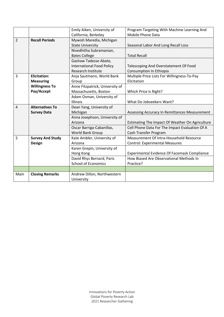|                |                         | Emily Aiken, University of<br>California, Berkeley | Program Targeting With Machine Learning And<br>Mobile Phone Data |
|----------------|-------------------------|----------------------------------------------------|------------------------------------------------------------------|
| $\overline{2}$ | <b>Recall Periods</b>   |                                                    |                                                                  |
|                |                         | Mywish Maredia, Michigan                           |                                                                  |
|                |                         | <b>State University</b>                            | Seasonal Labor And Long Recall Loss                              |
|                |                         | Nivedhitha Subramanian,                            |                                                                  |
|                |                         | <b>Bates College</b>                               | <b>Total Recall</b>                                              |
|                |                         | Gashaw Tadesse Abate,                              |                                                                  |
|                |                         | <b>International Food Policy</b>                   | Telescoping And Overstatement Of Food                            |
|                |                         | Research Institute                                 | Consumption In Ethiopia                                          |
| 3              | <b>Elicitation:</b>     | Anja Sautmann, World Bank                          | Multiple Price Lists For Willingness-To-Pay                      |
|                | <b>Measuring</b>        | Group                                              | Elicitation                                                      |
|                | <b>Willingness To</b>   | Anne Fitzpatrick, University of                    |                                                                  |
|                | Pay/Accept              | Massachusetts, Boston                              | Which Price Is Right?                                            |
|                |                         | Adam Osman, University of                          |                                                                  |
|                |                         | <b>Illinois</b>                                    | What Do Jobseekers Want?                                         |
| 4              | <b>Alternatives To</b>  | Dean Yang, University of                           |                                                                  |
|                | <b>Survey Data</b>      | Michigan                                           | Assessing Accuracy In Remittances Measurement                    |
|                |                         | Anna Josephson, University of                      |                                                                  |
|                |                         | Arizona                                            | Estimating The Impact Of Weather On Agriculture                  |
|                |                         | Oscar Barriga-Cabanillas,                          | Cell Phone Data For The Impact Evaluation Of A                   |
|                |                         | World Bank Group                                   | Cash Transfer Program                                            |
| 5              | <b>Survey And Study</b> | Kate Ambler, University of                         | Measurement Of Intra-Household Resource                          |
|                | Design                  | Arizona                                            | <b>Control: Experimental Measures</b>                            |
|                |                         | Karen Grepin, University of                        |                                                                  |
|                |                         | Hong Kong                                          | <b>Experimental Evidence Of Facemask Compliance</b>              |
|                |                         | David Rhys Bernard, Paris                          | How Biased Are Observational Methods In                          |
|                |                         | <b>School of Economics</b>                         | Practice?                                                        |
|                |                         |                                                    |                                                                  |
| Main           | <b>Closing Remarks</b>  | Andrew Dillon, Northwestern                        |                                                                  |
|                |                         | University                                         |                                                                  |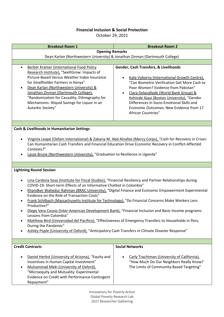## **Financial Inclusion & Social Protection**

October 29, 2021

| <b>Breakout Room 1</b>                                                                                                                                                                                                                                                                                                                                                                                                                                                                                                                                                                                                                                                                                                                                                                                                                                          | <b>Breakout Room 2</b>                                                                                                                                                                                                                                                                                                                                                                         |  |
|-----------------------------------------------------------------------------------------------------------------------------------------------------------------------------------------------------------------------------------------------------------------------------------------------------------------------------------------------------------------------------------------------------------------------------------------------------------------------------------------------------------------------------------------------------------------------------------------------------------------------------------------------------------------------------------------------------------------------------------------------------------------------------------------------------------------------------------------------------------------|------------------------------------------------------------------------------------------------------------------------------------------------------------------------------------------------------------------------------------------------------------------------------------------------------------------------------------------------------------------------------------------------|--|
| <b>Opening Remarks</b>                                                                                                                                                                                                                                                                                                                                                                                                                                                                                                                                                                                                                                                                                                                                                                                                                                          |                                                                                                                                                                                                                                                                                                                                                                                                |  |
| Dean Karlan (Northwestern University) & Jonathan Zinman (Dartmouth College)                                                                                                                                                                                                                                                                                                                                                                                                                                                                                                                                                                                                                                                                                                                                                                                     |                                                                                                                                                                                                                                                                                                                                                                                                |  |
| Berber Kramer (International Food Policy<br>Research Institute), "SeeltGrow: Impacts of<br>Picture-Based Versus Weather Index Insurance<br>for Smallholder Farmers in Kenya"<br>Dean Karlan (Northwestern University) &<br>Jonathan Zinman (Dartmouth College),<br>"Randomization for Causality, Ethnography for<br>Mechanisms: Illiquid Savings for Liquor in an<br>Autarkic Society"                                                                                                                                                                                                                                                                                                                                                                                                                                                                          | Gender, Cash Transfers, & Livelihoods<br>Kate Vyborny (International Growth Centre),<br>"Can Biometric Verification Get More Cash to<br>Poor Women? Evidence from Pakistan"<br>Clara Delavallade (World Bank Group) &<br>$\bullet$<br>Kehinde Ajayi (Boston University), "Gender<br>Differences in Socio-Emotional Skills and<br>Economic Outcomes: New Evidence from 17<br>African Countries" |  |
|                                                                                                                                                                                                                                                                                                                                                                                                                                                                                                                                                                                                                                                                                                                                                                                                                                                                 |                                                                                                                                                                                                                                                                                                                                                                                                |  |
| Cash & Livelihoods in Humanitarian Settings<br>Virginia Leape (Oxfam International) & Zakaria M. Abd Alnafee (Mercy Corps), "Cash for Recovery in Crises:<br>Can Humanitarian Cash Transfers and Financial Education Drive Economic Recovery in Conflict-Affected<br>Contexts?"<br>Lasse Brune (Northwestern University), "Graduation to Resilience in Uganda"                                                                                                                                                                                                                                                                                                                                                                                                                                                                                                  |                                                                                                                                                                                                                                                                                                                                                                                                |  |
|                                                                                                                                                                                                                                                                                                                                                                                                                                                                                                                                                                                                                                                                                                                                                                                                                                                                 |                                                                                                                                                                                                                                                                                                                                                                                                |  |
| <b>Lightning Round Session</b><br>Lina Cardona Sosa (Institute for Fiscal Studies), "Financial Resiliency and Partner Relationships during<br>COVID-19: Short-term Effects of an Informative Chatbot in Colombia"<br>Khandker Wahedur Rahman (BRAC University), "Digital Finance and Economic Empowerment Experimental<br>Evidence on the Role of Transaction Costs"<br>Frank Schilbach (Massachusetts Institute for Technology), "Do Financial Concerns Make Workers Less<br>Productive?"<br>Diego Vera Cossio (Inter-American Development Bank), "Financial Inclusion and Basic Income programs:<br>Lessons from Colombia"<br>Matthew Bird (Universidad del Pacífico), "Effectiveness of Emergency Transfers to Households in Peru<br>During the Pandemic"<br>Ashley Pople (University of Oxford), "Anticipatory Cash Transfers in Climate Disaster Response" |                                                                                                                                                                                                                                                                                                                                                                                                |  |
| <b>Credit Contracts</b>                                                                                                                                                                                                                                                                                                                                                                                                                                                                                                                                                                                                                                                                                                                                                                                                                                         | <b>Social Networks</b>                                                                                                                                                                                                                                                                                                                                                                         |  |
| Daniel Herbst (University of Arizona), "Equity and<br>Incentives in Human Capital Investment"<br>Muhammad Meki (University of Oxford),<br>"Microequity and Mutuality: Experimental<br>Evidence on Credit with Performance-Contingent<br>Repayment"                                                                                                                                                                                                                                                                                                                                                                                                                                                                                                                                                                                                              | Carly Trachtman (University of California),<br>"How Much Do Our Neighbors Really Know?<br>The Limits of Community-Based Targeting"                                                                                                                                                                                                                                                             |  |

Innovations for Poverty Action Global Poverty Research Lab 2021 Researcher Gathering